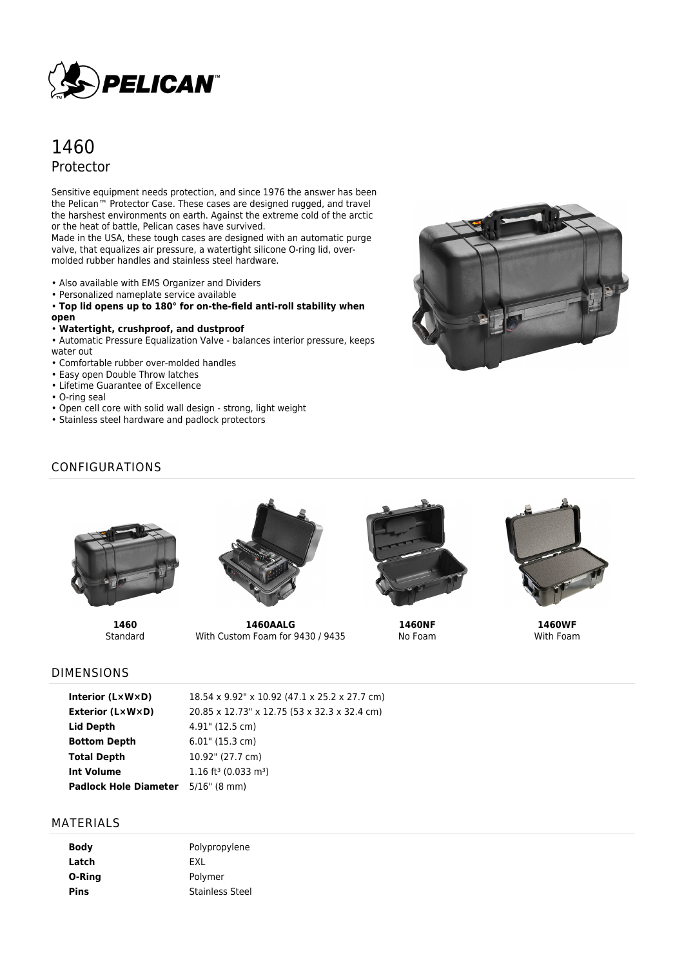

# 1460 Protector

Sensitive equipment needs protection, and since 1976 the answer has been the Pelican™ Protector Case. These cases are designed rugged, and travel the harshest environments on earth. Against the extreme cold of the arctic or the heat of battle, Pelican cases have survived.

Made in the USA, these tough cases are designed with an automatic purge valve, that equalizes air pressure, a watertight silicone O-ring lid, overmolded rubber handles and stainless steel hardware.

- 
- Also available with EMS Organizer and Dividers
- Personalized nameplate service available

• **Top lid opens up to 180° for on-the-field anti-roll stability when open**

#### • **Watertight, crushproof, and dustproof**

• Automatic Pressure Equalization Valve - balances interior pressure, keeps water out

- Comfortable rubber over-molded handles
- Easy open Double Throw latches
- Lifetime Guarantee of Excellence
- O-ring seal
- Open cell core with solid wall design strong, light weight
- Stainless steel hardware and padlock protectors



# CONFIGURATIONS



**1460** Standard



**1460AALG** With Custom Foam for 9430 / 9435



**1460NF** No Foam



**1460WF** With Foam

### DIMENSIONS

| Interior (LxWxD)                          | 18.54 x 9.92" x 10.92 (47.1 x 25.2 x 27.7 cm)  |
|-------------------------------------------|------------------------------------------------|
| <b>Exterior (LxWxD)</b>                   | 20.85 x 12.73" x 12.75 (53 x 32.3 x 32.4 cm)   |
| Lid Depth                                 | 4.91" (12.5 cm)                                |
| <b>Bottom Depth</b>                       | $6.01$ " (15.3 cm)                             |
| Total Depth                               | 10.92" (27.7 cm)                               |
| <b>Int Volume</b>                         | $1.16$ ft <sup>3</sup> (0.033 m <sup>3</sup> ) |
| <b>Padlock Hole Diameter</b> 5/16" (8 mm) |                                                |

#### MATERIALS

| Body   | Polypropylene          |
|--------|------------------------|
| Latch  | <b>FXI</b>             |
| O-Ring | Polymer                |
| Pins   | <b>Stainless Steel</b> |